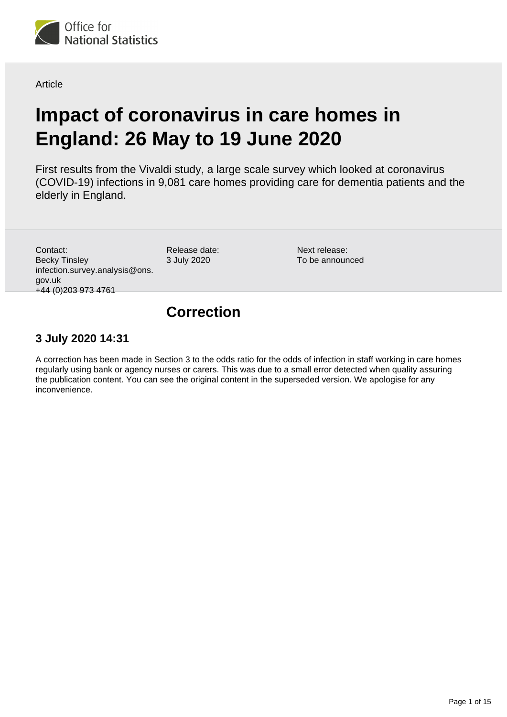

**Article** 

# **Impact of coronavirus in care homes in England: 26 May to 19 June 2020**

First results from the Vivaldi study, a large scale survey which looked at coronavirus (COVID-19) infections in 9,081 care homes providing care for dementia patients and the elderly in England.

Contact: Becky Tinsley infection.survey.analysis@ons. gov.uk +44 (0)203 973 4761

Release date: 3 July 2020

Next release: To be announced

## **Correction**

## **3 July 2020 14:31**

A correction has been made in Section 3 to the odds ratio for the odds of infection in staff working in care homes regularly using bank or agency nurses or carers. This was due to a small error detected when quality assuring the publication content. You can see the original content in the superseded version. We apologise for any inconvenience.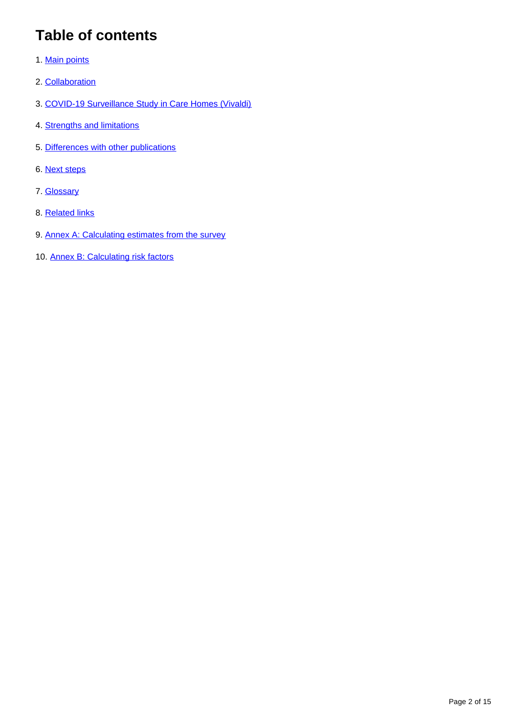# **Table of contents**

- 1. [Main points](#page-2-0)
- 2. [Collaboration](#page-3-0)
- 3. [COVID-19 Surveillance Study in Care Homes \(Vivaldi\)](#page-3-1)
- 4. [Strengths and limitations](#page-8-0)
- 5. [Differences with other publications](#page-10-0)
- 6. [Next steps](#page-11-0)
- 7. [Glossary](#page-12-0)
- 8. [Related links](#page-12-1)
- 9. [Annex A: Calculating estimates from the survey](#page-12-2)
- 10. [Annex B: Calculating risk factors](#page-14-0)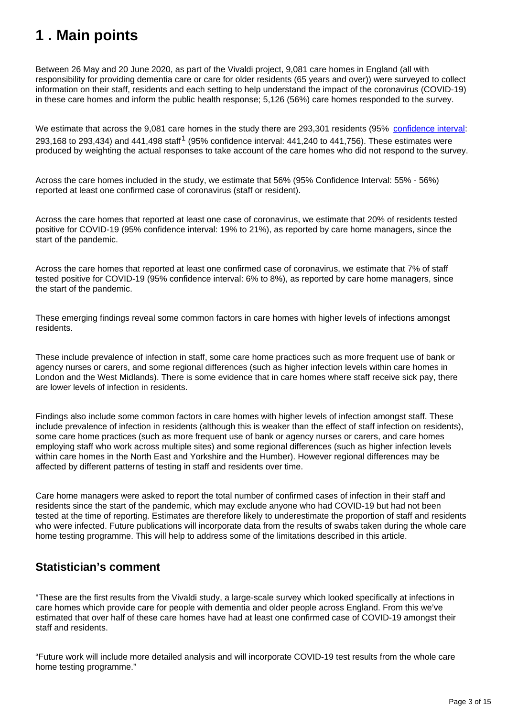## <span id="page-2-0"></span>**1 . Main points**

Between 26 May and 20 June 2020, as part of the Vivaldi project, 9,081 care homes in England (all with responsibility for providing dementia care or care for older residents (65 years and over)) were surveyed to collect information on their staff, residents and each setting to help understand the impact of the coronavirus (COVID-19) in these care homes and inform the public health response; 5,126 (56%) care homes responded to the survey.

We estimate that across the 9,081 care homes in the study there are 293,301 residents (95% [confidence interval](https://www.ons.gov.uk/methodology/methodologytopicsandstatisticalconcepts/uncertaintyandhowwemeasureit#confidence-interval): 293,168 to 293,434) and 441,498 staff<sup>1</sup> (95% confidence interval: 441,240 to 441,756). These estimates were produced by weighting the actual responses to take account of the care homes who did not respond to the survey.

Across the care homes included in the study, we estimate that 56% (95% Confidence Interval: 55% - 56%) reported at least one confirmed case of coronavirus (staff or resident).

Across the care homes that reported at least one case of coronavirus, we estimate that 20% of residents tested positive for COVID-19 (95% confidence interval: 19% to 21%), as reported by care home managers, since the start of the pandemic.

Across the care homes that reported at least one confirmed case of coronavirus, we estimate that 7% of staff tested positive for COVID-19 (95% confidence interval: 6% to 8%), as reported by care home managers, since the start of the pandemic.

These emerging findings reveal some common factors in care homes with higher levels of infections amongst residents.

These include prevalence of infection in staff, some care home practices such as more frequent use of bank or agency nurses or carers, and some regional differences (such as higher infection levels within care homes in London and the West Midlands). There is some evidence that in care homes where staff receive sick pay, there are lower levels of infection in residents.

Findings also include some common factors in care homes with higher levels of infection amongst staff. These include prevalence of infection in residents (although this is weaker than the effect of staff infection on residents), some care home practices (such as more frequent use of bank or agency nurses or carers, and care homes employing staff who work across multiple sites) and some regional differences (such as higher infection levels within care homes in the North East and Yorkshire and the Humber). However regional differences may be affected by different patterns of testing in staff and residents over time.

Care home managers were asked to report the total number of confirmed cases of infection in their staff and residents since the start of the pandemic, which may exclude anyone who had COVID-19 but had not been tested at the time of reporting. Estimates are therefore likely to underestimate the proportion of staff and residents who were infected. Future publications will incorporate data from the results of swabs taken during the whole care home testing programme. This will help to address some of the limitations described in this article.

## **Statistician's comment**

"These are the first results from the Vivaldi study, a large-scale survey which looked specifically at infections in care homes which provide care for people with dementia and older people across England. From this we've estimated that over half of these care homes have had at least one confirmed case of COVID-19 amongst their staff and residents.

"Future work will include more detailed analysis and will incorporate COVID-19 test results from the whole care home testing programme."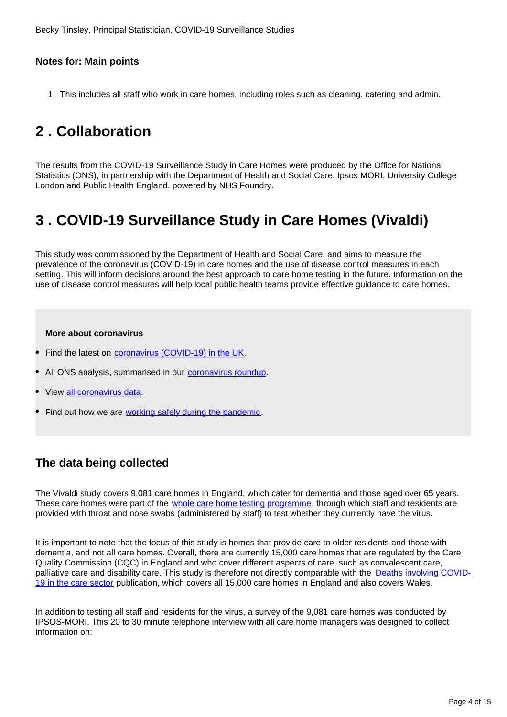## **Notes for: Main points**

1. This includes all staff who work in care homes, including roles such as cleaning, catering and admin.

# <span id="page-3-0"></span>**2 . Collaboration**

The results from the COVID-19 Surveillance Study in Care Homes were produced by the Office for National Statistics (ONS), in partnership with the Department of Health and Social Care, Ipsos MORI, University College London and Public Health England, powered by NHS Foundry.

# <span id="page-3-1"></span>**3 . COVID-19 Surveillance Study in Care Homes (Vivaldi)**

This study was commissioned by the Department of Health and Social Care, and aims to measure the prevalence of the coronavirus (COVID-19) in care homes and the use of disease control measures in each setting. This will inform decisions around the best approach to care home testing in the future. Information on the use of disease control measures will help local public health teams provide effective guidance to care homes.

#### **More about coronavirus**

- Find the latest on *coronavirus (COVID-19)* in the UK.
- All ONS analysis, summarised in our [coronavirus roundup.](https://www.ons.gov.uk/peoplepopulationandcommunity/healthandsocialcare/conditionsanddiseases/articles/coronaviruscovid19roundup/latest)
- View [all coronavirus data.](https://www.ons.gov.uk/peoplepopulationandcommunity/healthandsocialcare/conditionsanddiseases/datalist)
- Find out how we are [working safely during the pandemic](https://www.ons.gov.uk/news/statementsandletters/ensuringyoursafetyduringcovid19).

## **The data being collected**

The Vivaldi study covers 9,081 care homes in England, which cater for dementia and those aged over 65 years. These care homes were part of the *[whole care home testing programme](https://www.gov.uk/government/news/government-launches-new-portal-for-care-homes-to-arrange-coronavirus-testing)*, through which staff and residents are provided with throat and nose swabs (administered by staff) to test whether they currently have the virus.

It is important to note that the focus of this study is homes that provide care to older residents and those with dementia, and not all care homes. Overall, there are currently 15,000 care homes that are regulated by the Care Quality Commission (CQC) in England and who cover different aspects of care, such as convalescent care, palliative care and disability care. This study is therefore not directly comparable with the [Deaths involving COVID-](https://www.ons.gov.uk/peoplepopulationandcommunity/birthsdeathsandmarriages/deaths/articles/deathsinvolvingcovid19inthecaresectorenglandandwales/deathsoccurringupto12june2020andregisteredupto20june2020provisional)[19 in the care sector](https://www.ons.gov.uk/peoplepopulationandcommunity/birthsdeathsandmarriages/deaths/articles/deathsinvolvingcovid19inthecaresectorenglandandwales/deathsoccurringupto12june2020andregisteredupto20june2020provisional) publication, which covers all 15,000 care homes in England and also covers Wales.

In addition to testing all staff and residents for the virus, a survey of the 9,081 care homes was conducted by IPSOS-MORI. This 20 to 30 minute telephone interview with all care home managers was designed to collect information on: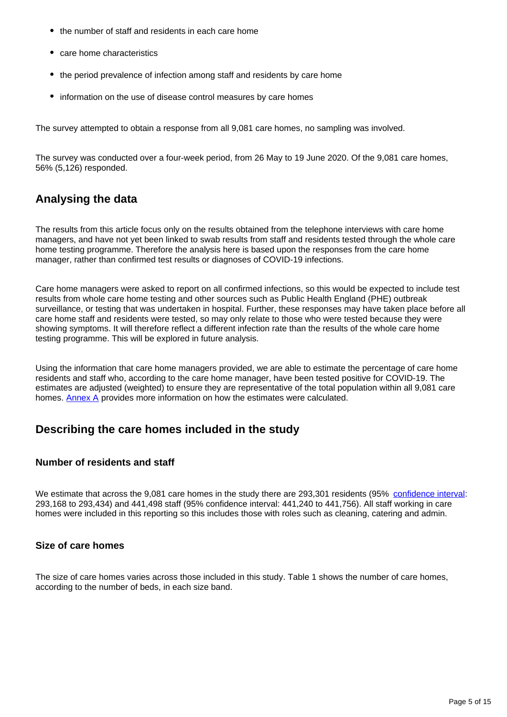- the number of staff and residents in each care home
- care home characteristics
- the period prevalence of infection among staff and residents by care home
- information on the use of disease control measures by care homes

The survey attempted to obtain a response from all 9,081 care homes, no sampling was involved.

The survey was conducted over a four-week period, from 26 May to 19 June 2020. Of the 9,081 care homes, 56% (5,126) responded.

## **Analysing the data**

The results from this article focus only on the results obtained from the telephone interviews with care home managers, and have not yet been linked to swab results from staff and residents tested through the whole care home testing programme. Therefore the analysis here is based upon the responses from the care home manager, rather than confirmed test results or diagnoses of COVID-19 infections.

Care home managers were asked to report on all confirmed infections, so this would be expected to include test results from whole care home testing and other sources such as Public Health England (PHE) outbreak surveillance, or testing that was undertaken in hospital. Further, these responses may have taken place before all care home staff and residents were tested, so may only relate to those who were tested because they were showing symptoms. It will therefore reflect a different infection rate than the results of the whole care home testing programme. This will be explored in future analysis.

Using the information that care home managers provided, we are able to estimate the percentage of care home residents and staff who, according to the care home manager, have been tested positive for COVID-19. The estimates are adjusted (weighted) to ensure they are representative of the total population within all 9,081 care homes. [Annex A](https://www.ons.gov.uk/peoplepopulationandcommunity/healthandsocialcare/conditionsanddiseases/articles/impactofcoronavirusincarehomesinenglandvivaldi/26mayto19june2020#annex-a-calculating-estimates-from-the-survey) provides more information on how the estimates were calculated.

## **Describing the care homes included in the study**

### **Number of residents and staff**

We estimate that across the 9,081 care homes in the study there are 293,301 residents (95% [confidence interval](https://www.ons.gov.uk/methodology/methodologytopicsandstatisticalconcepts/uncertaintyandhowwemeasureit#confidence-interval): 293,168 to 293,434) and 441,498 staff (95% confidence interval: 441,240 to 441,756). All staff working in care homes were included in this reporting so this includes those with roles such as cleaning, catering and admin.

### **Size of care homes**

The size of care homes varies across those included in this study. Table 1 shows the number of care homes, according to the number of beds, in each size band.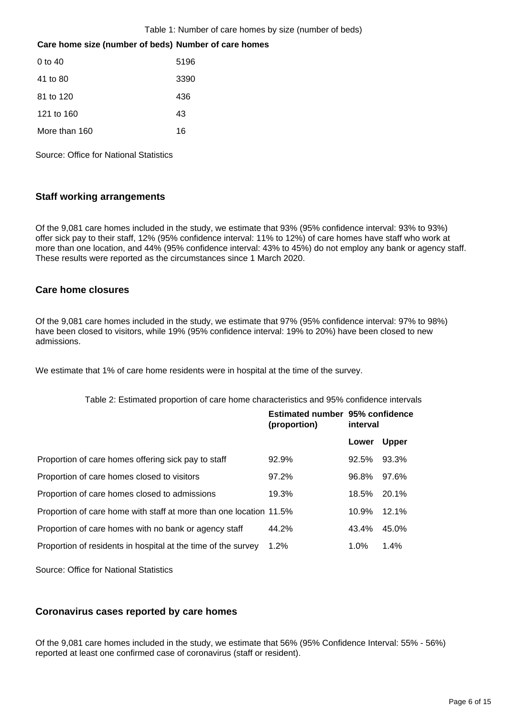#### Table 1: Number of care homes by size (number of beds)

#### **Care home size (number of beds) Number of care homes**

| $0 \text{ to } 40$ | 5196 |
|--------------------|------|
| 41 to 80           | 3390 |
| 81 to 120          | 436  |
| 121 to 160         | 43   |
| More than 160      | 16   |

Source: Office for National Statistics

### **Staff working arrangements**

Of the 9,081 care homes included in the study, we estimate that 93% (95% confidence interval: 93% to 93%) offer sick pay to their staff, 12% (95% confidence interval: 11% to 12%) of care homes have staff who work at more than one location, and 44% (95% confidence interval: 43% to 45%) do not employ any bank or agency staff. These results were reported as the circumstances since 1 March 2020.

#### **Care home closures**

Of the 9,081 care homes included in the study, we estimate that 97% (95% confidence interval: 97% to 98%) have been closed to visitors, while 19% (95% confidence interval: 19% to 20%) have been closed to new admissions.

We estimate that 1% of care home residents were in hospital at the time of the survey.

|  |  |  |  |  | Table 2: Estimated proportion of care home characteristics and 95% confidence intervals |
|--|--|--|--|--|-----------------------------------------------------------------------------------------|
|--|--|--|--|--|-----------------------------------------------------------------------------------------|

|                                                                    | Estimated number 95% confidence<br>(proportion) | interval |              |
|--------------------------------------------------------------------|-------------------------------------------------|----------|--------------|
|                                                                    |                                                 | Lower    | <b>Upper</b> |
| Proportion of care homes offering sick pay to staff                | 92.9%                                           | 92.5%    | 93.3%        |
| Proportion of care homes closed to visitors                        | 97.2%                                           | 96.8%    | 97.6%        |
| Proportion of care homes closed to admissions                      | 19.3%                                           | 18.5%    | 20.1%        |
| Proportion of care home with staff at more than one location 11.5% |                                                 | 10.9%    | 12.1%        |
| Proportion of care homes with no bank or agency staff              | 44.2%                                           | 43.4%    | 45.0%        |
| Proportion of residents in hospital at the time of the survey      | 1.2%                                            | 1.0%     | 1.4%         |

Source: Office for National Statistics

### **Coronavirus cases reported by care homes**

Of the 9,081 care homes included in the study, we estimate that 56% (95% Confidence Interval: 55% - 56%) reported at least one confirmed case of coronavirus (staff or resident).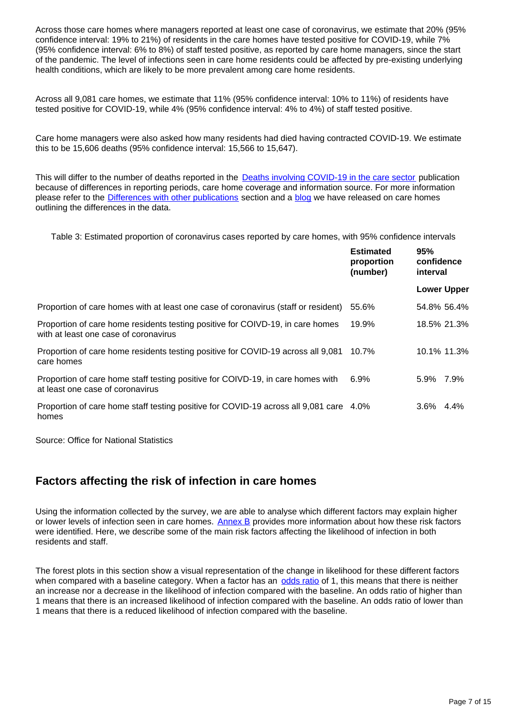Across those care homes where managers reported at least one case of coronavirus, we estimate that 20% (95% confidence interval: 19% to 21%) of residents in the care homes have tested positive for COVID-19, while 7% (95% confidence interval: 6% to 8%) of staff tested positive, as reported by care home managers, since the start of the pandemic. The level of infections seen in care home residents could be affected by pre-existing underlying health conditions, which are likely to be more prevalent among care home residents.

Across all 9,081 care homes, we estimate that 11% (95% confidence interval: 10% to 11%) of residents have tested positive for COVID-19, while 4% (95% confidence interval: 4% to 4%) of staff tested positive.

Care home managers were also asked how many residents had died having contracted COVID-19. We estimate this to be 15,606 deaths (95% confidence interval: 15,566 to 15,647).

This will differ to the number of deaths reported in the **Deaths involving COVID-19 in the care sector** publication because of differences in reporting periods, care home coverage and information source. For more information please refer to the **Differences with other publications** section and a **blog** we have released on care homes outlining the differences in the data.

Table 3: Estimated proportion of coronavirus cases reported by care homes, with 95% confidence intervals

|                                                                                                                         | <b>Estimated</b><br>proportion<br>(number) | 95%<br>confidence<br>interval |         |
|-------------------------------------------------------------------------------------------------------------------------|--------------------------------------------|-------------------------------|---------|
|                                                                                                                         |                                            | <b>Lower Upper</b>            |         |
| Proportion of care homes with at least one case of coronavirus (staff or resident)                                      | 55.6%                                      | 54.8% 56.4%                   |         |
| Proportion of care home residents testing positive for COIVD-19, in care homes<br>with at least one case of coronavirus | 19.9%                                      | 18.5% 21.3%                   |         |
| Proportion of care home residents testing positive for COVID-19 across all 9,081<br>care homes                          | 10.7%                                      | 10.1% 11.3%                   |         |
| Proportion of care home staff testing positive for COIVD-19, in care homes with<br>at least one case of coronavirus     | $6.9\%$                                    | 5.9% 7.9%                     |         |
| Proportion of care home staff testing positive for COVID-19 across all 9,081 care 4.0%<br>homes                         |                                            | $3.6\%$                       | $4.4\%$ |

Source: Office for National Statistics

## **Factors affecting the risk of infection in care homes**

Using the information collected by the survey, we are able to analyse which different factors may explain higher or lower levels of infection seen in care homes. [Annex B](https://www.ons.gov.uk/peoplepopulationandcommunity/healthandsocialcare/conditionsanddiseases/articles/impactofcoronavirusincarehomesinenglandvivaldi/26mayto19june2020#annex-b-calculating-risk-factors) provides more information about how these risk factors were identified. Here, we describe some of the main risk factors affecting the likelihood of infection in both residents and staff.

The forest plots in this section show a visual representation of the change in likelihood for these different factors when compared with a baseline category. When a factor has an [odds ratio](https://www.ons.gov.uk/peoplepopulationandcommunity/healthandsocialcare/conditionsanddiseases/articles/impactofcoronavirusincarehomesinenglandvivaldi/26mayto19june2020#glossary) of 1, this means that there is neither an increase nor a decrease in the likelihood of infection compared with the baseline. An odds ratio of higher than 1 means that there is an increased likelihood of infection compared with the baseline. An odds ratio of lower than 1 means that there is a reduced likelihood of infection compared with the baseline.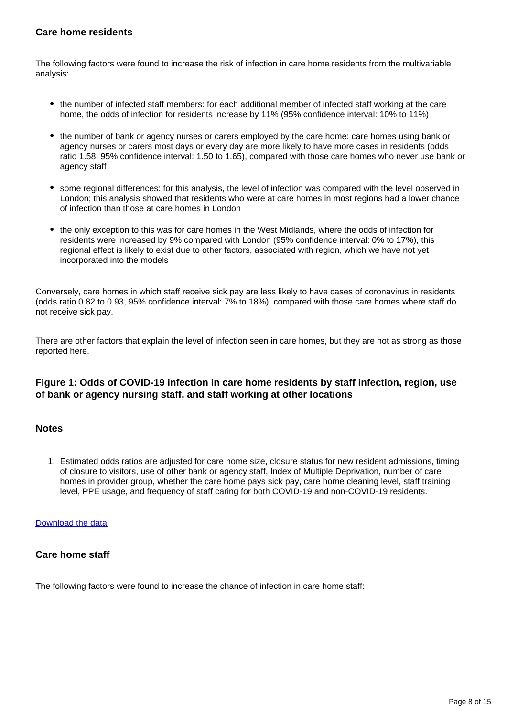### **Care home residents**

The following factors were found to increase the risk of infection in care home residents from the multivariable analysis:

- the number of infected staff members: for each additional member of infected staff working at the care home, the odds of infection for residents increase by 11% (95% confidence interval: 10% to 11%)
- the number of bank or agency nurses or carers employed by the care home: care homes using bank or agency nurses or carers most days or every day are more likely to have more cases in residents (odds ratio 1.58, 95% confidence interval: 1.50 to 1.65), compared with those care homes who never use bank or agency staff
- some regional differences: for this analysis, the level of infection was compared with the level observed in London; this analysis showed that residents who were at care homes in most regions had a lower chance of infection than those at care homes in London
- the only exception to this was for care homes in the West Midlands, where the odds of infection for residents were increased by 9% compared with London (95% confidence interval: 0% to 17%), this regional effect is likely to exist due to other factors, associated with region, which we have not yet incorporated into the models

Conversely, care homes in which staff receive sick pay are less likely to have cases of coronavirus in residents (odds ratio 0.82 to 0.93, 95% confidence interval: 7% to 18%), compared with those care homes where staff do not receive sick pay.

There are other factors that explain the level of infection seen in care homes, but they are not as strong as those reported here.

### **Figure 1: Odds of COVID-19 infection in care home residents by staff infection, region, use of bank or agency nursing staff, and staff working at other locations**

### **Notes**

1. Estimated odds ratios are adjusted for care home size, closure status for new resident admissions, timing of closure to visitors, use of other bank or agency staff, Index of Multiple Deprivation, number of care homes in provider group, whether the care home pays sick pay, care home cleaning level, staff training level, PPE usage, and frequency of staff caring for both COVID-19 and non-COVID-19 residents.

#### [Download the data](https://www.ons.gov.uk/visualisations/dvc884/residents/datadownload.xlsx)

### **Care home staff**

The following factors were found to increase the chance of infection in care home staff: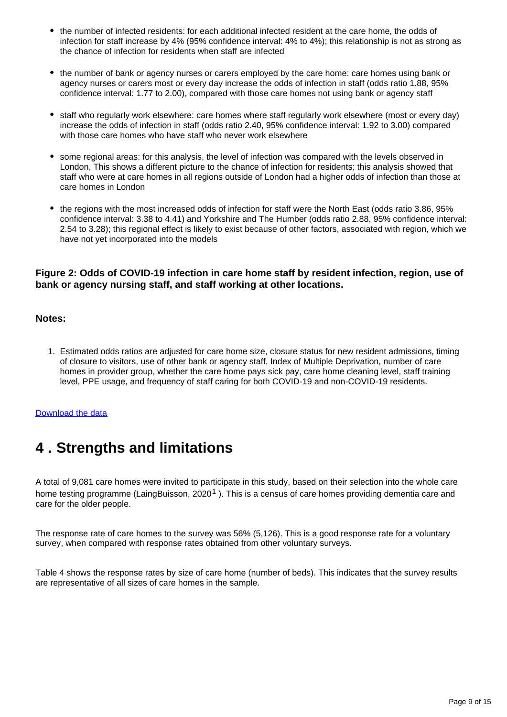- the number of infected residents: for each additional infected resident at the care home, the odds of infection for staff increase by 4% (95% confidence interval: 4% to 4%); this relationship is not as strong as the chance of infection for residents when staff are infected
- the number of bank or agency nurses or carers employed by the care home: care homes using bank or agency nurses or carers most or every day increase the odds of infection in staff (odds ratio 1.88, 95% confidence interval: 1.77 to 2.00), compared with those care homes not using bank or agency staff
- staff who regularly work elsewhere: care homes where staff regularly work elsewhere (most or every day) increase the odds of infection in staff (odds ratio 2.40, 95% confidence interval: 1.92 to 3.00) compared with those care homes who have staff who never work elsewhere
- some regional areas: for this analysis, the level of infection was compared with the levels observed in London, This shows a different picture to the chance of infection for residents; this analysis showed that staff who were at care homes in all regions outside of London had a higher odds of infection than those at care homes in London
- the regions with the most increased odds of infection for staff were the North East (odds ratio 3.86, 95% confidence interval: 3.38 to 4.41) and Yorkshire and The Humber (odds ratio 2.88, 95% confidence interval: 2.54 to 3.28); this regional effect is likely to exist because of other factors, associated with region, which we have not yet incorporated into the models

### **Figure 2: Odds of COVID-19 infection in care home staff by resident infection, region, use of bank or agency nursing staff, and staff working at other locations.**

#### **Notes:**

1. Estimated odds ratios are adjusted for care home size, closure status for new resident admissions, timing of closure to visitors, use of other bank or agency staff, Index of Multiple Deprivation, number of care homes in provider group, whether the care home pays sick pay, care home cleaning level, staff training level, PPE usage, and frequency of staff caring for both COVID-19 and non-COVID-19 residents.

#### [Download the data](https://www.ons.gov.uk/visualisations/dvc884/staff/datadownload.xlsx)

## <span id="page-8-0"></span>**4 . Strengths and limitations**

A total of 9,081 care homes were invited to participate in this study, based on their selection into the whole care home testing programme (LaingBuisson, 2020<sup>1</sup>). This is a census of care homes providing dementia care and care for the older people.

The response rate of care homes to the survey was 56% (5,126). This is a good response rate for a voluntary survey, when compared with response rates obtained from other voluntary surveys.

Table 4 shows the response rates by size of care home (number of beds). This indicates that the survey results are representative of all sizes of care homes in the sample.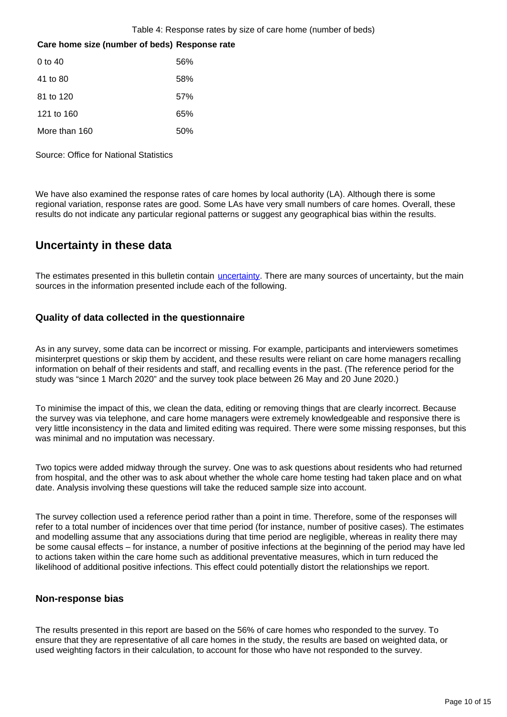Table 4: Response rates by size of care home (number of beds)

#### **Care home size (number of beds) Response rate**

| 0 to 40       | 56% |
|---------------|-----|
| 41 to 80      | 58% |
| 81 to 120     | 57% |
| 121 to 160    | 65% |
| More than 160 | 50% |

Source: Office for National Statistics

We have also examined the response rates of care homes by local authority (LA). Although there is some regional variation, response rates are good. Some LAs have very small numbers of care homes. Overall, these results do not indicate any particular regional patterns or suggest any geographical bias within the results.

## **Uncertainty in these data**

The estimates presented in this bulletin contain *[uncertainty](https://www.ons.gov.uk/methodology/methodologytopicsandstatisticalconcepts/uncertaintyandhowwemeasureit)*. There are many sources of uncertainty, but the main sources in the information presented include each of the following.

### **Quality of data collected in the questionnaire**

As in any survey, some data can be incorrect or missing. For example, participants and interviewers sometimes misinterpret questions or skip them by accident, and these results were reliant on care home managers recalling information on behalf of their residents and staff, and recalling events in the past. (The reference period for the study was "since 1 March 2020" and the survey took place between 26 May and 20 June 2020.)

To minimise the impact of this, we clean the data, editing or removing things that are clearly incorrect. Because the survey was via telephone, and care home managers were extremely knowledgeable and responsive there is very little inconsistency in the data and limited editing was required. There were some missing responses, but this was minimal and no imputation was necessary.

Two topics were added midway through the survey. One was to ask questions about residents who had returned from hospital, and the other was to ask about whether the whole care home testing had taken place and on what date. Analysis involving these questions will take the reduced sample size into account.

The survey collection used a reference period rather than a point in time. Therefore, some of the responses will refer to a total number of incidences over that time period (for instance, number of positive cases). The estimates and modelling assume that any associations during that time period are negligible, whereas in reality there may be some causal effects – for instance, a number of positive infections at the beginning of the period may have led to actions taken within the care home such as additional preventative measures, which in turn reduced the likelihood of additional positive infections. This effect could potentially distort the relationships we report.

#### **Non-response bias**

The results presented in this report are based on the 56% of care homes who responded to the survey. To ensure that they are representative of all care homes in the study, the results are based on weighted data, or used weighting factors in their calculation, to account for those who have not responded to the survey.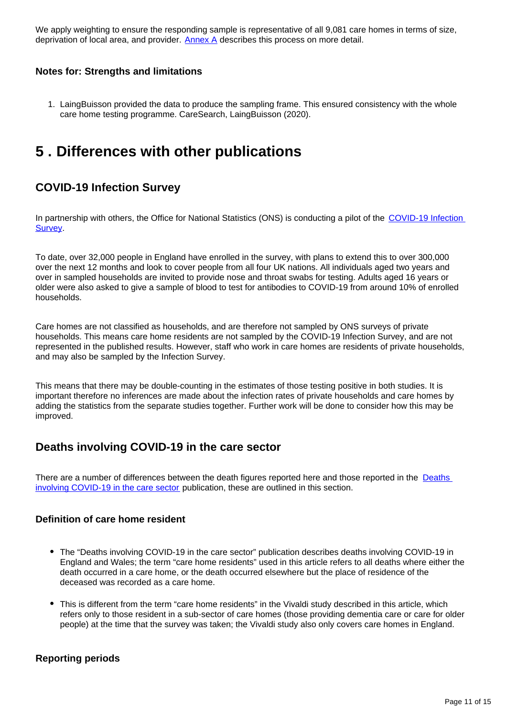We apply weighting to ensure the responding sample is representative of all 9,081 care homes in terms of size, deprivation of local area, and provider.  $\Delta n$  describes this process on more detail.

#### **Notes for: Strengths and limitations**

1. LaingBuisson provided the data to produce the sampling frame. This ensured consistency with the whole care home testing programme. CareSearch, LaingBuisson (2020).

## <span id="page-10-0"></span>**5 . Differences with other publications**

## **COVID-19 Infection Survey**

In partnership with others, the Office for National Statistics (ONS) is conducting a pilot of the COVID-19 Infection **[Survey](https://www.ons.gov.uk/peoplepopulationandcommunity/healthandsocialcare/conditionsanddiseases/bulletins/coronaviruscovid19infectionsurveypilot/latest)**.

To date, over 32,000 people in England have enrolled in the survey, with plans to extend this to over 300,000 over the next 12 months and look to cover people from all four UK nations. All individuals aged two years and over in sampled households are invited to provide nose and throat swabs for testing. Adults aged 16 years or older were also asked to give a sample of blood to test for antibodies to COVID-19 from around 10% of enrolled households.

Care homes are not classified as households, and are therefore not sampled by ONS surveys of private households. This means care home residents are not sampled by the COVID-19 Infection Survey, and are not represented in the published results. However, staff who work in care homes are residents of private households, and may also be sampled by the Infection Survey.

This means that there may be double-counting in the estimates of those testing positive in both studies. It is important therefore no inferences are made about the infection rates of private households and care homes by adding the statistics from the separate studies together. Further work will be done to consider how this may be improved.

## **Deaths involving COVID-19 in the care sector**

There are a number of differences between the death figures reported here and those reported in the Deaths [involving COVID-19 in the care sector](https://www.ons.gov.uk/peoplepopulationandcommunity/birthsdeathsandmarriages/deaths/articles/deathsinvolvingcovid19inthecaresectorenglandandwales/deathsoccurringupto12june2020andregisteredupto20june2020provisional) publication, these are outlined in this section.

#### **Definition of care home resident**

- The "Deaths involving COVID-19 in the care sector" publication describes deaths involving COVID-19 in England and Wales; the term "care home residents" used in this article refers to all deaths where either the death occurred in a care home, or the death occurred elsewhere but the place of residence of the deceased was recorded as a care home.
- This is different from the term "care home residents" in the Vivaldi study described in this article, which refers only to those resident in a sub-sector of care homes (those providing dementia care or care for older people) at the time that the survey was taken; the Vivaldi study also only covers care homes in England.

### **Reporting periods**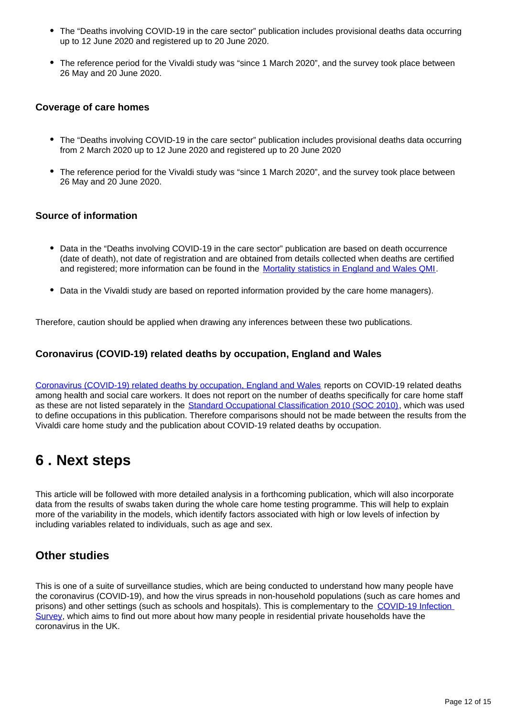- The "Deaths involving COVID-19 in the care sector" publication includes provisional deaths data occurring up to 12 June 2020 and registered up to 20 June 2020.
- The reference period for the Vivaldi study was "since 1 March 2020", and the survey took place between 26 May and 20 June 2020.

#### **Coverage of care homes**

- The "Deaths involving COVID-19 in the care sector" publication includes provisional deaths data occurring from 2 March 2020 up to 12 June 2020 and registered up to 20 June 2020
- The reference period for the Vivaldi study was "since 1 March 2020", and the survey took place between 26 May and 20 June 2020.

#### **Source of information**

- Data in the "Deaths involving COVID-19 in the care sector" publication are based on death occurrence (date of death), not date of registration and are obtained from details collected when deaths are certified and registered; more information can be found in the [Mortality statistics in England and Wales QMI.](https://www.ons.gov.uk/peoplepopulationandcommunity/birthsdeathsandmarriages/deaths/bulletins/deathsregisteredweeklyinenglandandwalesprovisional/latest#measuring-the-data)
- Data in the Vivaldi study are based on reported information provided by the care home managers).

Therefore, caution should be applied when drawing any inferences between these two publications.

### **Coronavirus (COVID-19) related deaths by occupation, England and Wales**

[Coronavirus \(COVID-19\) related deaths by occupation, England and Wales](https://www.ons.gov.uk/peoplepopulationandcommunity/healthandsocialcare/causesofdeath/bulletins/coronaviruscovid19relateddeathsbyoccupationenglandandwales/deathsregisteredbetween9marchand25may2020) reports on COVID-19 related deaths among health and social care workers. It does not report on the number of deaths specifically for care home staff as these are not listed separately in the [Standard Occupational Classification 2010 \(SOC 2010\),](https://www.ons.gov.uk/methodology/classificationsandstandards/standardoccupationalclassificationsoc/soc2010/soc2010volume1structureanddescriptionsofunitgroups) which was used to define occupations in this publication. Therefore comparisons should not be made between the results from the Vivaldi care home study and the publication about COVID-19 related deaths by occupation.

## <span id="page-11-0"></span>**6 . Next steps**

This article will be followed with more detailed analysis in a forthcoming publication, which will also incorporate data from the results of swabs taken during the whole care home testing programme. This will help to explain more of the variability in the models, which identify factors associated with high or low levels of infection by including variables related to individuals, such as age and sex.

## **Other studies**

This is one of a suite of surveillance studies, which are being conducted to understand how many people have the coronavirus (COVID-19), and how the virus spreads in non-household populations (such as care homes and prisons) and other settings (such as schools and hospitals). This is complementary to the [COVID-19 Infection](https://www.ons.gov.uk/peoplepopulationandcommunity/healthandsocialcare/conditionsanddiseases/bulletins/coronaviruscovid19infectionsurveypilot/latest)  [Survey](https://www.ons.gov.uk/peoplepopulationandcommunity/healthandsocialcare/conditionsanddiseases/bulletins/coronaviruscovid19infectionsurveypilot/latest), which aims to find out more about how many people in residential private households have the coronavirus in the UK.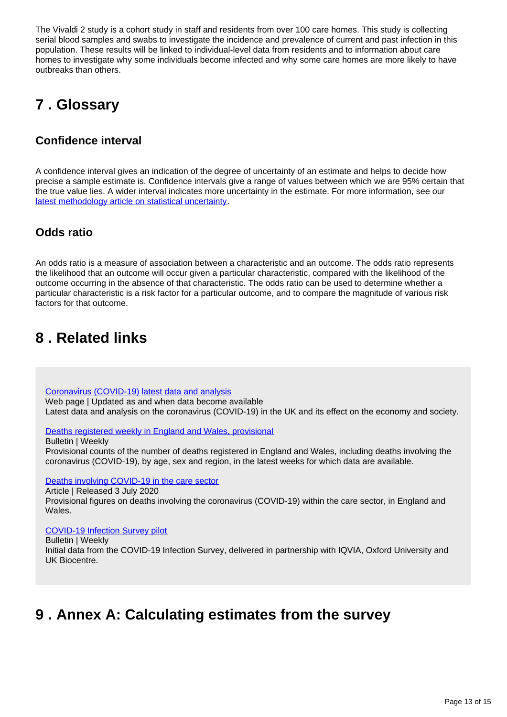The Vivaldi 2 study is a cohort study in staff and residents from over 100 care homes. This study is collecting serial blood samples and swabs to investigate the incidence and prevalence of current and past infection in this population. These results will be linked to individual-level data from residents and to information about care homes to investigate why some individuals become infected and why some care homes are more likely to have outbreaks than others.

# <span id="page-12-0"></span>**7 . Glossary**

## **Confidence interval**

A confidence interval gives an indication of the degree of uncertainty of an estimate and helps to decide how precise a sample estimate is. Confidence intervals give a range of values between which we are 95% certain that the true value lies. A wider interval indicates more uncertainty in the estimate. For more information, see our [latest methodology article on statistical uncertainty](https://www.ons.gov.uk/methodology/methodologytopicsandstatisticalconcepts/uncertaintyandhowwemeasureit).

## **Odds ratio**

An odds ratio is a measure of association between a characteristic and an outcome. The odds ratio represents the likelihood that an outcome will occur given a particular characteristic, compared with the likelihood of the outcome occurring in the absence of that characteristic. The odds ratio can be used to determine whether a particular characteristic is a risk factor for a particular outcome, and to compare the magnitude of various risk factors for that outcome.

## <span id="page-12-1"></span>**8 . Related links**

[Coronavirus \(COVID-19\) latest data and analysis](https://www.ons.gov.uk/peoplepopulationandcommunity/healthandsocialcare/conditionsanddiseases/bulletins/coronaviruscovid19infectionsurveypilot/latest)

Web page | Updated as and when data become available Latest data and analysis on the coronavirus (COVID-19) in the UK and its effect on the economy and society.

[Deaths registered weekly in England and Wales, provisional](https://www.ons.gov.uk/peoplepopulationandcommunity/birthsdeathsandmarriages/deaths/bulletins/deathsregisteredweeklyinenglandandwalesprovisional/latest)

Bulletin | Weekly

Provisional counts of the number of deaths registered in England and Wales, including deaths involving the coronavirus (COVID-19), by age, sex and region, in the latest weeks for which data are available.

[Deaths involving COVID-19 in the care sector](https://www.ons.gov.uk/peoplepopulationandcommunity/birthsdeathsandmarriages/deaths/articles/deathsinvolvingcovid19inthecaresectorenglandandwales/deathsoccurringupto1may2020andregisteredupto9may2020provisional)

Article | Released 3 July 2020

Provisional figures on deaths involving the coronavirus (COVID-19) within the care sector, in England and Wales.

[COVID-19 Infection Survey pilot](https://www.ons.gov.uk/peoplepopulationandcommunity/healthandsocialcare/conditionsanddiseases/bulletins/coronaviruscovid19infectionsurveypilot/latest)

Bulletin | Weekly

Initial data from the COVID-19 Infection Survey, delivered in partnership with IQVIA, Oxford University and UK Biocentre.

# <span id="page-12-2"></span>**9 . Annex A: Calculating estimates from the survey**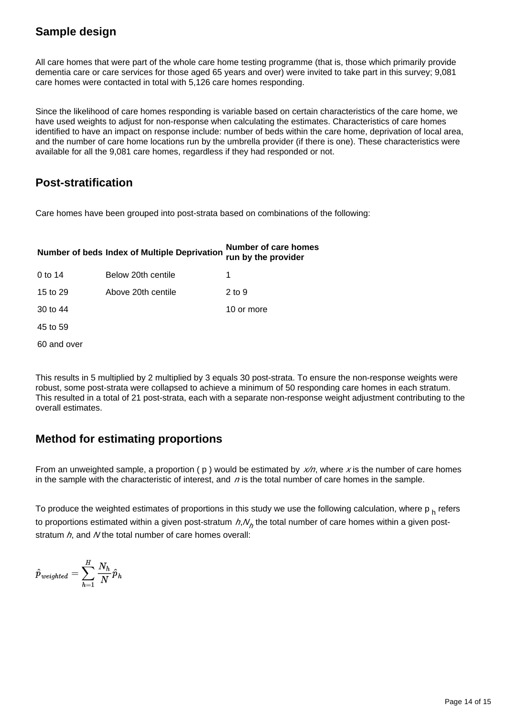## **Sample design**

All care homes that were part of the whole care home testing programme (that is, those which primarily provide dementia care or care services for those aged 65 years and over) were invited to take part in this survey; 9,081 care homes were contacted in total with 5,126 care homes responding.

Since the likelihood of care homes responding is variable based on certain characteristics of the care home, we have used weights to adjust for non-response when calculating the estimates. Characteristics of care homes identified to have an impact on response include: number of beds within the care home, deprivation of local area, and the number of care home locations run by the umbrella provider (if there is one). These characteristics were available for all the 9,081 care homes, regardless if they had responded or not.

## **Post-stratification**

Care homes have been grouped into post-strata based on combinations of the following:

# **Number of beds Index of Multiple Deprivation Number of care homes run by the provider**

| 0 to 14     | Below 20th centile |            |
|-------------|--------------------|------------|
| 15 to 29    | Above 20th centile | 2 to 9     |
| 30 to 44    |                    | 10 or more |
| 45 to 59    |                    |            |
| 60 and over |                    |            |

This results in 5 multiplied by 2 multiplied by 3 equals 30 post-strata. To ensure the non-response weights were robust, some post-strata were collapsed to achieve a minimum of 50 responding care homes in each stratum. This resulted in a total of 21 post-strata, each with a separate non-response weight adjustment contributing to the overall estimates.

## **Method for estimating proportions**

From an unweighted sample, a proportion ( $p$ ) would be estimated by  $x/n$ , where x is the number of care homes in the sample with the characteristic of interest, and  $n$  is the total number of care homes in the sample.

To produce the weighted estimates of proportions in this study we use the following calculation, where  $p_h$  refers to proportions estimated within a given post-stratum  $h, N_h$  the total number of care homes within a given poststratum  $h$ , and N the total number of care homes overall:

$$
\hat{p}_\textit{weighted} = \sum_{h=1}^H \frac{N_h}{N} \hat{p}_h
$$